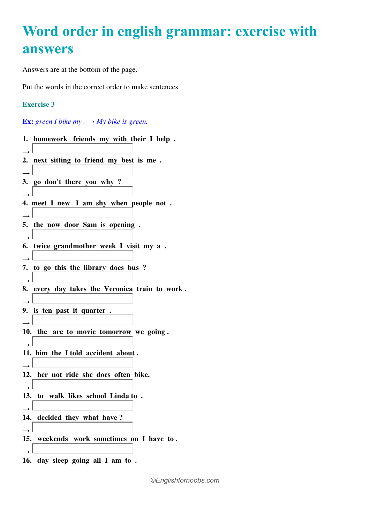## **Word order in english grammar: exercise with answers**

Answers are at the bottom of the page.

Put the words in the correct order to make sentences

## **Exercise 3**

**Ex:** green I bike my  $\rightarrow$  My bike is green.

|               | 1. homework friends my with their I help.      |
|---------------|------------------------------------------------|
| $\rightarrow$ |                                                |
|               | 2. next sitting to friend my best is me.       |
| $\rightarrow$ |                                                |
|               | 3. go don't there you why?                     |
|               |                                                |
|               | 4. meet I new I am shy when people not.        |
| $\rightarrow$ |                                                |
|               | 5. the now door Sam is opening.                |
|               |                                                |
|               | 6. twice grandmother week I visit my a.        |
| $\rightarrow$ |                                                |
|               | 7. to go this the library does bus?            |
| $\rightarrow$ |                                                |
|               | 8. every day takes the Veronica train to work. |
| $\rightarrow$ |                                                |
|               | 9. is ten past it quarter.                     |
|               |                                                |
|               | 10. the are to movie tomorrow we going.        |
|               |                                                |
|               | 11. him the I told accident about.             |
|               |                                                |
|               | 12. her not ride she does often bike.          |
| $\rightarrow$ |                                                |
|               | 13. to walk likes school Linda to.             |
| $\rightarrow$ |                                                |
|               | 14. decided they what have?                    |
|               |                                                |
|               | 15. weekends work sometimes on I have to.      |
| $\rightarrow$ |                                                |
|               | 16. day sleep going all I am to.               |

*©Englishfornoobs.com*